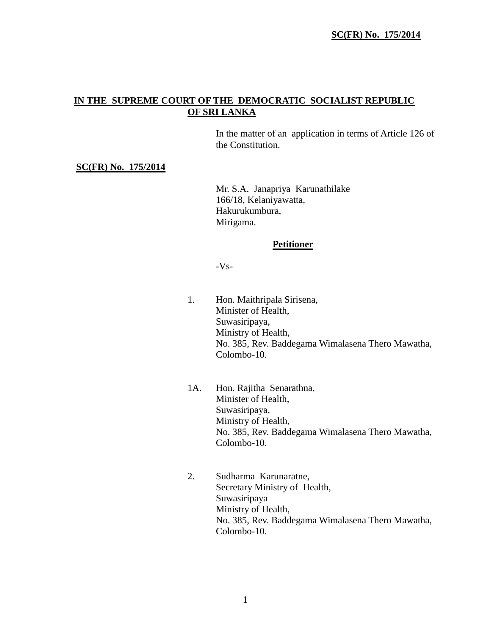# **IN THE SUPREME COURT OF THE DEMOCRATIC SOCIALIST REPUBLIC OF SRI LANKA**

In the matter of an application in terms of Article 126 of the Constitution.

#### **SC(FR) No. 175/2014**

Mr. S.A. Janapriya Karunathilake 166/18, Kelaniyawatta, Hakurukumbura, Mirigama.

#### **Petitioner**

-Vs-

- 1. Hon. Maithripala Sirisena, Minister of Health, Suwasiripaya, Ministry of Health, No. 385, Rev. Baddegama Wimalasena Thero Mawatha, Colombo-10.
- 1A. Hon. Rajitha Senarathna, Minister of Health, Suwasiripaya, Ministry of Health, No. 385, Rev. Baddegama Wimalasena Thero Mawatha, Colombo-10.
- 2. Sudharma Karunaratne, Secretary Ministry of Health, Suwasiripaya Ministry of Health, No. 385, Rev. Baddegama Wimalasena Thero Mawatha, Colombo-10.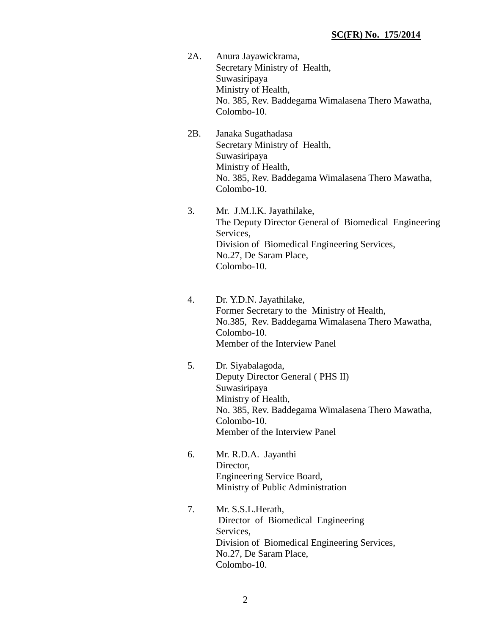- 2A. Anura Jayawickrama, Secretary Ministry of Health, Suwasiripaya Ministry of Health, No. 385, Rev. Baddegama Wimalasena Thero Mawatha, Colombo-10.
- 2B. Janaka Sugathadasa Secretary Ministry of Health, Suwasiripaya Ministry of Health, No. 385, Rev. Baddegama Wimalasena Thero Mawatha, Colombo-10.
- 3. Mr. J.M.I.K. Jayathilake, The Deputy Director General of Biomedical Engineering Services, Division of Biomedical Engineering Services, No.27, De Saram Place, Colombo-10.
- 4. Dr. Y.D.N. Jayathilake, Former Secretary to the Ministry of Health, No.385, Rev. Baddegama Wimalasena Thero Mawatha, Colombo-10. Member of the Interview Panel
- 5. Dr. Siyabalagoda, Deputy Director General ( PHS II) Suwasiripaya Ministry of Health, No. 385, Rev. Baddegama Wimalasena Thero Mawatha, Colombo-10. Member of the Interview Panel
- 6. Mr. R.D.A. Jayanthi Director, Engineering Service Board, Ministry of Public Administration
- 7. Mr. S.S.L.Herath, Director of Biomedical Engineering Services, Division of Biomedical Engineering Services, No.27, De Saram Place, Colombo-10.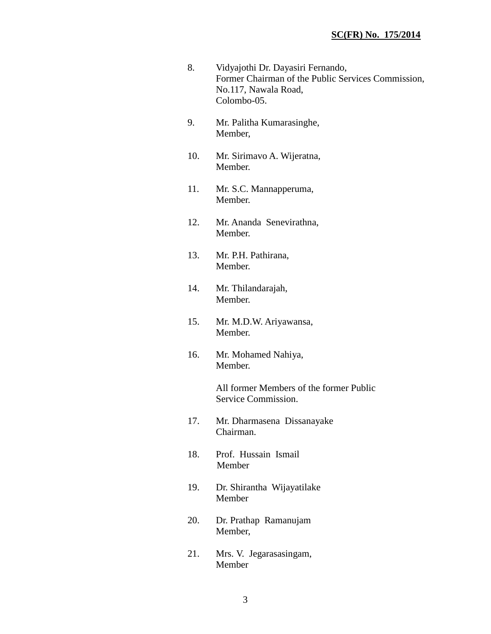- 8. Vidyajothi Dr. Dayasiri Fernando, Former Chairman of the Public Services Commission, No.117, Nawala Road, Colombo-05.
- 9. Mr. Palitha Kumarasinghe, Member,
- 10. Mr. Sirimavo A. Wijeratna, Member.
- 11. Mr. S.C. Mannapperuma, Member.
- 12. Mr. Ananda Senevirathna, Member.
- 13. Mr. P.H. Pathirana, Member.
- 14. Mr. Thilandarajah, Member.
- 15. Mr. M.D.W. Ariyawansa, Member.
- 16. Mr. Mohamed Nahiya, Member.

All former Members of the former Public Service Commission.

- 17. Mr. Dharmasena Dissanayake Chairman.
- 18. Prof. Hussain Ismail Member
- 19. Dr. Shirantha Wijayatilake Member
- 20. Dr. Prathap Ramanujam Member,
- 21. Mrs. V. Jegarasasingam, Member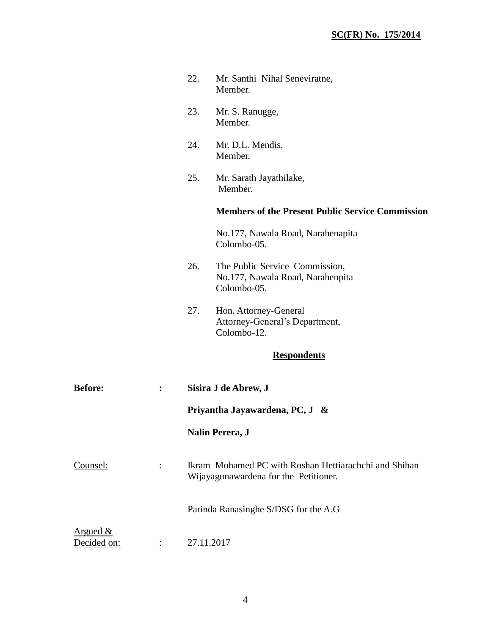|                         |                      | 22.                                                    | Mr. Santhi Nihal Seneviratne,<br>Member.                                                       |  |
|-------------------------|----------------------|--------------------------------------------------------|------------------------------------------------------------------------------------------------|--|
|                         |                      | 23.                                                    | Mr. S. Ranugge,<br>Member.                                                                     |  |
|                         |                      | 24.                                                    | Mr. D.L. Mendis,<br>Member.                                                                    |  |
|                         |                      | 25.                                                    | Mr. Sarath Jayathilake,<br>Member.                                                             |  |
|                         |                      |                                                        | <b>Members of the Present Public Service Commission</b>                                        |  |
|                         |                      |                                                        | No.177, Nawala Road, Narahenapita<br>Colombo-05.                                               |  |
|                         |                      | 26.                                                    | The Public Service Commission,<br>No.177, Nawala Road, Narahenpita<br>Colombo-05.              |  |
|                         |                      | 27.                                                    | Hon. Attorney-General<br>Attorney-General's Department,<br>Colombo-12.                         |  |
|                         |                      |                                                        | <b>Respondents</b>                                                                             |  |
| <b>Before:</b>          | :                    | Sisira J de Abrew, J<br>Priyantha Jayawardena, PC, J & |                                                                                                |  |
|                         |                      |                                                        |                                                                                                |  |
|                         |                      |                                                        | Nalin Perera, J                                                                                |  |
| Counsel:                |                      |                                                        | Ikram Mohamed PC with Roshan Hettiarachchi and Shihan<br>Wijayagunawardena for the Petitioner. |  |
|                         |                      |                                                        | Parinda Ranasinghe S/DSG for the A.G                                                           |  |
| Argued &<br>Decided on: | $\ddot{\phantom{a}}$ |                                                        | 27.11.2017                                                                                     |  |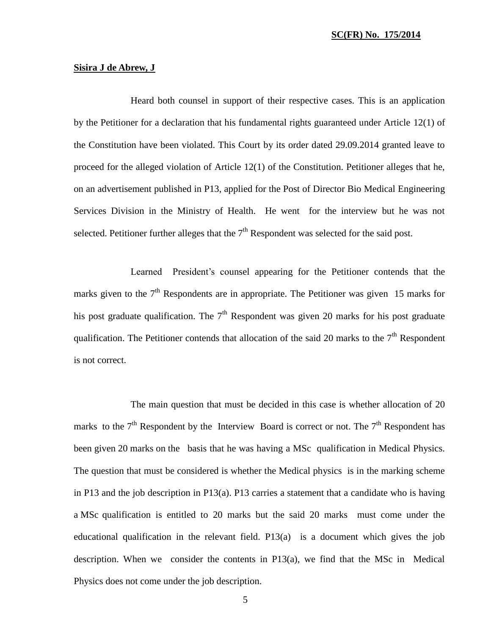#### **Sisira J de Abrew, J**

Heard both counsel in support of their respective cases. This is an application by the Petitioner for a declaration that his fundamental rights guaranteed under Article 12(1) of the Constitution have been violated. This Court by its order dated 29.09.2014 granted leave to proceed for the alleged violation of Article 12(1) of the Constitution. Petitioner alleges that he, on an advertisement published in P13, applied for the Post of Director Bio Medical Engineering Services Division in the Ministry of Health. He went for the interview but he was not selected. Petitioner further alleges that the  $7<sup>th</sup>$  Respondent was selected for the said post.

Learned President's counsel appearing for the Petitioner contends that the marks given to the  $7<sup>th</sup>$  Respondents are in appropriate. The Petitioner was given 15 marks for his post graduate qualification. The  $7<sup>th</sup>$  Respondent was given 20 marks for his post graduate qualification. The Petitioner contends that allocation of the said 20 marks to the  $7<sup>th</sup>$  Respondent is not correct.

The main question that must be decided in this case is whether allocation of 20 marks to the  $7<sup>th</sup>$  Respondent by the Interview Board is correct or not. The  $7<sup>th</sup>$  Respondent has been given 20 marks on the basis that he was having a MSc qualification in Medical Physics. The question that must be considered is whether the Medical physics is in the marking scheme in P13 and the job description in P13(a). P13 carries a statement that a candidate who is having a MSc qualification is entitled to 20 marks but the said 20 marks must come under the educational qualification in the relevant field. P13(a) is a document which gives the job description. When we consider the contents in P13(a), we find that the MSc in Medical Physics does not come under the job description.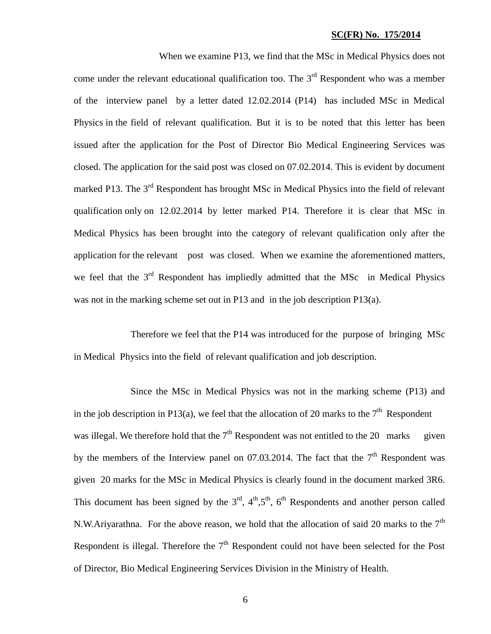When we examine P13, we find that the MSc in Medical Physics does not come under the relevant educational qualification too. The  $3<sup>rd</sup>$  Respondent who was a member of the interview panel by a letter dated 12.02.2014 (P14) has included MSc in Medical Physics in the field of relevant qualification. But it is to be noted that this letter has been issued after the application for the Post of Director Bio Medical Engineering Services was closed. The application for the said post was closed on 07.02.2014. This is evident by document marked P13. The 3<sup>rd</sup> Respondent has brought MSc in Medical Physics into the field of relevant qualification only on 12.02.2014 by letter marked P14. Therefore it is clear that MSc in Medical Physics has been brought into the category of relevant qualification only after the application for the relevant post was closed. When we examine the aforementioned matters, we feel that the  $3<sup>rd</sup>$  Respondent has impliedly admitted that the MSc in Medical Physics was not in the marking scheme set out in P13 and in the job description P13(a).

Therefore we feel that the P14 was introduced for the purpose of bringing MSc in Medical Physics into the field of relevant qualification and job description.

Since the MSc in Medical Physics was not in the marking scheme (P13) and in the job description in P13(a), we feel that the allocation of 20 marks to the  $7<sup>th</sup>$  Respondent was illegal. We therefore hold that the  $7<sup>th</sup>$  Respondent was not entitled to the 20 marks given by the members of the Interview panel on 07.03.2014. The fact that the  $7<sup>th</sup>$  Respondent was given 20 marks for the MSc in Medical Physics is clearly found in the document marked 3R6. This document has been signed by the  $3<sup>rd</sup>$ ,  $4<sup>th</sup>$ ,  $5<sup>th</sup>$ ,  $6<sup>th</sup>$  Respondents and another person called N.W.Ariyarathna. For the above reason, we hold that the allocation of said 20 marks to the  $7<sup>th</sup>$ Respondent is illegal. Therefore the  $7<sup>th</sup>$  Respondent could not have been selected for the Post of Director, Bio Medical Engineering Services Division in the Ministry of Health.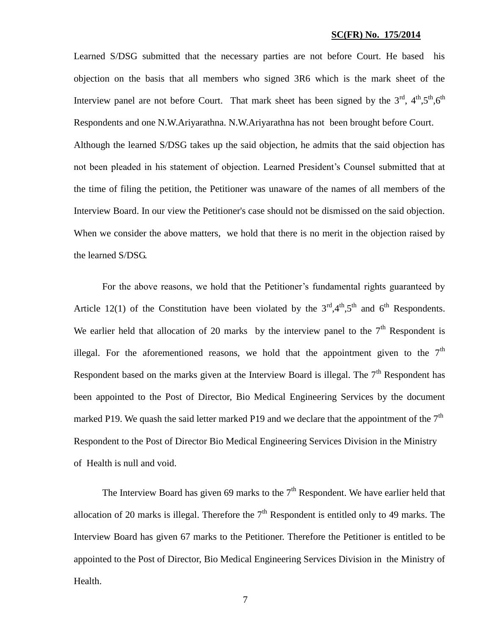Learned S/DSG submitted that the necessary parties are not before Court. He based his objection on the basis that all members who signed 3R6 which is the mark sheet of the Interview panel are not before Court. That mark sheet has been signed by the  $3<sup>rd</sup>$ ,  $4<sup>th</sup>$ ,  $5<sup>th</sup>$ ,  $6<sup>th</sup>$ Respondents and one N.W.Ariyarathna. N.W.Ariyarathna has not been brought before Court. Although the learned S/DSG takes up the said objection, he admits that the said objection has not been pleaded in his statement of objection. Learned President's Counsel submitted that at the time of filing the petition, the Petitioner was unaware of the names of all members of the Interview Board. In our view the Petitioner's case should not be dismissed on the said objection. When we consider the above matters, we hold that there is no merit in the objection raised by the learned S/DSG.

For the above reasons, we hold that the Petitioner's fundamental rights guaranteed by Article 12(1) of the Constitution have been violated by the  $3<sup>rd</sup>,4<sup>th</sup>,5<sup>th</sup>$  and 6<sup>th</sup> Respondents. We earlier held that allocation of 20 marks by the interview panel to the  $7<sup>th</sup>$  Respondent is illegal. For the aforementioned reasons, we hold that the appointment given to the  $7<sup>th</sup>$ Respondent based on the marks given at the Interview Board is illegal. The  $7<sup>th</sup>$  Respondent has been appointed to the Post of Director, Bio Medical Engineering Services by the document marked P19. We quash the said letter marked P19 and we declare that the appointment of the  $7<sup>th</sup>$ Respondent to the Post of Director Bio Medical Engineering Services Division in the Ministry of Health is null and void.

The Interview Board has given 69 marks to the  $7<sup>th</sup>$  Respondent. We have earlier held that allocation of 20 marks is illegal. Therefore the  $7<sup>th</sup>$  Respondent is entitled only to 49 marks. The Interview Board has given 67 marks to the Petitioner. Therefore the Petitioner is entitled to be appointed to the Post of Director, Bio Medical Engineering Services Division in the Ministry of Health.